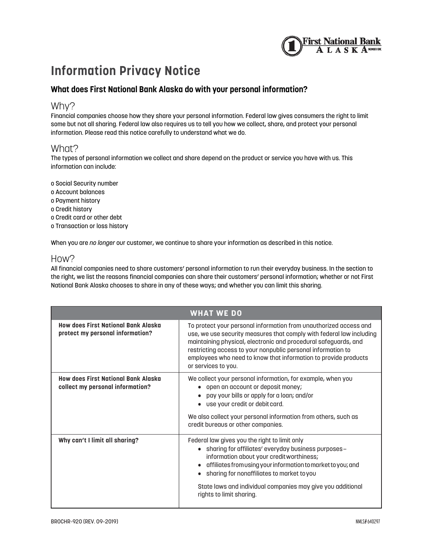

# **Information Privacy Notice**

## **What does First National Bank Alaska do with your personal information?**

## Why?

Financial companies choose how they share your personal information. Federal law gives consumers the right to limit some but not all sharing. Federal law also requires us to tell you how we collect, share, and protect your personal information. Please read this notice carefully to understand what we do.

### What?

The types of personal information we collect and share depend on the product or service you have with us. This information can include:

o Social Security number o Account balances o Payment history o Credit history o Credit card or other debt o Transaction or loss history

When you are *no longer* our customer, we continue to share your information as described in this notice.

### How?

All financial companies need to share customers' personal information to run their everyday business. In the section to the right, we list the reasons financial companies can share their customers' personal information; whether or not First National Bank Alaska chooses to share in any of these ways; and whether you can limit this sharing.

| <b>WHAT WE DO</b>                                                       |                                                                                                                                                                                                                                                                                                                                                                                      |  |
|-------------------------------------------------------------------------|--------------------------------------------------------------------------------------------------------------------------------------------------------------------------------------------------------------------------------------------------------------------------------------------------------------------------------------------------------------------------------------|--|
| How does First National Bank Alaska<br>protect my personal information? | To protect your personal information from unauthorized access and<br>use, we use security measures that comply with federal law including<br>maintaining physical, electronic and procedural safeguards, and<br>restricting access to your nonpublic personal information to<br>employees who need to know that information to provide products<br>or services to you.               |  |
| How does First National Bank Alaska<br>collect my personal information? | We collect your personal information, for example, when you<br>open an account or deposit money;<br>pay your bills or apply for a loan; and/or<br>use your credit or debit card.<br>$\bullet$<br>We also collect your personal information from others, such as<br>credit bureaus or other companies.                                                                                |  |
| Why can't I limit all sharing?                                          | Federal law gives you the right to limit only<br>sharing for affiliates' everyday business purposes–<br>$\bullet$<br>information about your credit worthiness;<br>affiliates from using your information to market to you; and<br>$\bullet$<br>sharing for nonaffiliates to market to you<br>State laws and individual companies may give you additional<br>rights to limit sharing. |  |